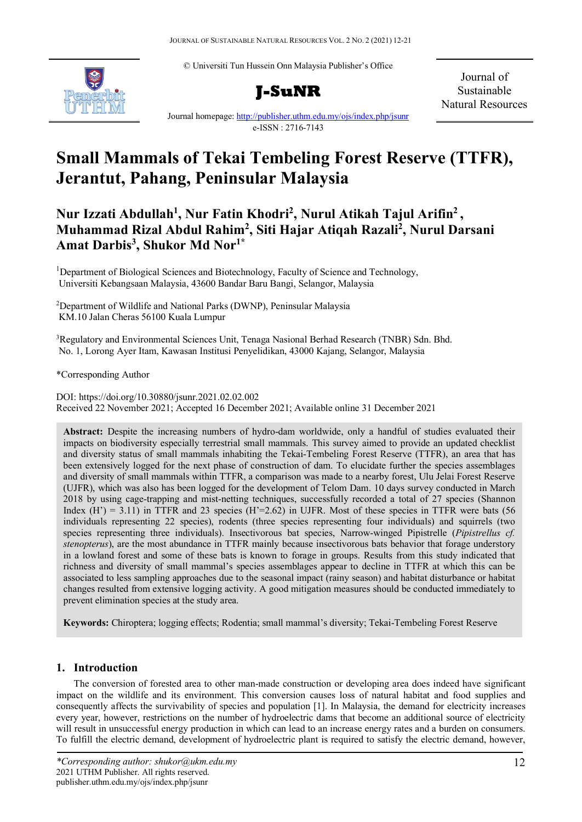© Universiti Tun Hussein Onn Malaysia Publisher's Office





Journal of Sustainable Natural Resources

Journal homepage:<http://publisher.uthm.edu.my/ojs/index.php/jsunr> e-ISSN : 2716-7143

# **Small Mammals of Tekai Tembeling Forest Reserve (TTFR), Jerantut, Pahang, Peninsular Malaysia**

## **Nur Izzati Abdullah1 , Nur Fatin Khodri2 , Nurul Atikah Tajul Arifin2 , Muhammad Rizal Abdul Rahim2 , Siti Hajar Atiqah Razali2 , Nurul Darsani Amat Darbis3 , Shukor Md Nor1\***

<sup>1</sup>Department of Biological Sciences and Biotechnology, Faculty of Science and Technology, Universiti Kebangsaan Malaysia, 43600 Bandar Baru Bangi, Selangor, Malaysia

2 Department of Wildlife and National Parks (DWNP), Peninsular Malaysia KM.10 Jalan Cheras 56100 Kuala Lumpur

<sup>3</sup>Regulatory and Environmental Sciences Unit, Tenaga Nasional Berhad Research (TNBR) Sdn. Bhd. No. 1, Lorong Ayer Itam, Kawasan Institusi Penyelidikan, 43000 Kajang, Selangor, Malaysia

\*Corresponding Author

DOI: https://doi.org/10.30880/jsunr.2021.02.02.002 Received 22 November 2021; Accepted 16 December 2021; Available online 31 December 2021

**Abstract:** Despite the increasing numbers of hydro-dam worldwide, only a handful of studies evaluated their impacts on biodiversity especially terrestrial small mammals. This survey aimed to provide an updated checklist and diversity status of small mammals inhabiting the Tekai-Tembeling Forest Reserve (TTFR), an area that has been extensively logged for the next phase of construction of dam. To elucidate further the species assemblages and diversity of small mammals within TTFR, a comparison was made to a nearby forest, Ulu Jelai Forest Reserve (UJFR), which was also has been logged for the development of Telom Dam. 10 days survey conducted in March 2018 by using cage-trapping and mist-netting techniques, successfully recorded a total of 27 species (Shannon Index  $(H') = 3.11$ ) in TTFR and 23 species  $(H' = 2.62)$  in UJFR. Most of these species in TTFR were bats (56) individuals representing 22 species), rodents (three species representing four individuals) and squirrels (two species representing three individuals). Insectivorous bat species, Narrow-winged Pipistrelle (*Pipistrellus cf. stenopterus*), are the most abundance in TTFR mainly because insectivorous bats behavior that forage understory in a lowland forest and some of these bats is known to forage in groups. Results from this study indicated that richness and diversity of small mammal's species assemblages appear to decline in TTFR at which this can be associated to less sampling approaches due to the seasonal impact (rainy season) and habitat disturbance or habitat changes resulted from extensive logging activity. A good mitigation measures should be conducted immediately to prevent elimination species at the study area.

**Keywords:** Chiroptera; logging effects; Rodentia; small mammal's diversity; Tekai-Tembeling Forest Reserve

## **1. Introduction**

The conversion of forested area to other man-made construction or developing area does indeed have significant impact on the wildlife and its environment. This conversion causes loss of natural habitat and food supplies and consequently affects the survivability of species and population [1]. In Malaysia, the demand for electricity increases every year, however, restrictions on the number of hydroelectric dams that become an additional source of electricity will result in unsuccessful energy production in which can lead to an increase energy rates and a burden on consumers. To fulfill the electric demand, development of hydroelectric plant is required to satisfy the electric demand, however,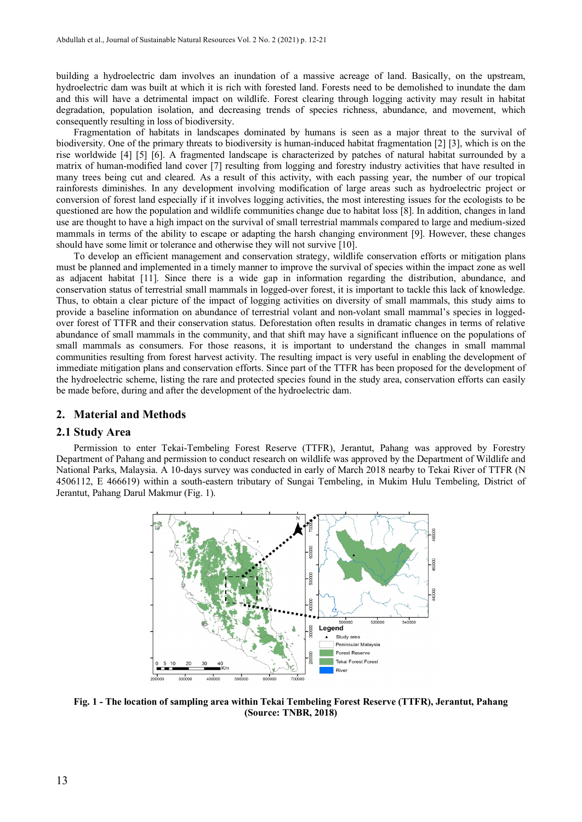building a hydroelectric dam involves an inundation of a massive acreage of land. Basically, on the upstream, hydroelectric dam was built at which it is rich with forested land. Forests need to be demolished to inundate the dam and this will have a detrimental impact on wildlife. Forest clearing through logging activity may result in habitat degradation, population isolation, and decreasing trends of species richness, abundance, and movement, which consequently resulting in loss of biodiversity.

Fragmentation of habitats in landscapes dominated by humans is seen as a major threat to the survival of biodiversity. One of the primary threats to biodiversity is human-induced habitat fragmentation [2] [3], which is on the rise worldwide [4] [5] [6]. A fragmented landscape is characterized by patches of natural habitat surrounded by a matrix of human-modified land cover [7] resulting from logging and forestry industry activities that have resulted in many trees being cut and cleared. As a result of this activity, with each passing year, the number of our tropical rainforests diminishes. In any development involving modification of large areas such as hydroelectric project or conversion of forest land especially if it involves logging activities, the most interesting issues for the ecologists to be questioned are how the population and wildlife communities change due to habitat loss [8]. In addition, changes in land use are thought to have a high impact on the survival of small terrestrial mammals compared to large and medium-sized mammals in terms of the ability to escape or adapting the harsh changing environment [9]. However, these changes should have some limit or tolerance and otherwise they will not survive [10].

To develop an efficient management and conservation strategy, wildlife conservation efforts or mitigation plans must be planned and implemented in a timely manner to improve the survival of species within the impact zone as well as adjacent habitat [11]. Since there is a wide gap in information regarding the distribution, abundance, and conservation status of terrestrial small mammals in logged-over forest, it is important to tackle this lack of knowledge. Thus, to obtain a clear picture of the impact of logging activities on diversity of small mammals, this study aims to provide a baseline information on abundance of terrestrial volant and non-volant small mammal's species in loggedover forest of TTFR and their conservation status. Deforestation often results in dramatic changes in terms of relative abundance of small mammals in the community, and that shift may have a significant influence on the populations of small mammals as consumers. For those reasons, it is important to understand the changes in small mammal communities resulting from forest harvest activity. The resulting impact is very useful in enabling the development of immediate mitigation plans and conservation efforts. Since part of the TTFR has been proposed for the development of the hydroelectric scheme, listing the rare and protected species found in the study area, conservation efforts can easily be made before, during and after the development of the hydroelectric dam.

#### **2. Material and Methods**

### **2.1 Study Area**

Permission to enter Tekai-Tembeling Forest Reserve (TTFR), Jerantut, Pahang was approved by Forestry Department of Pahang and permission to conduct research on wildlife was approved by the Department of Wildlife and National Parks, Malaysia. A 10-days survey was conducted in early of March 2018 nearby to Tekai River of TTFR (N 4506112, E 466619) within a south-eastern tributary of Sungai Tembeling, in Mukim Hulu Tembeling, District of Jerantut, Pahang Darul Makmur (Fig. 1).



 **Fig. 1 - The location of sampling area within Tekai Tembeling Forest Reserve (TTFR), Jerantut, Pahang (Source: TNBR, 2018)**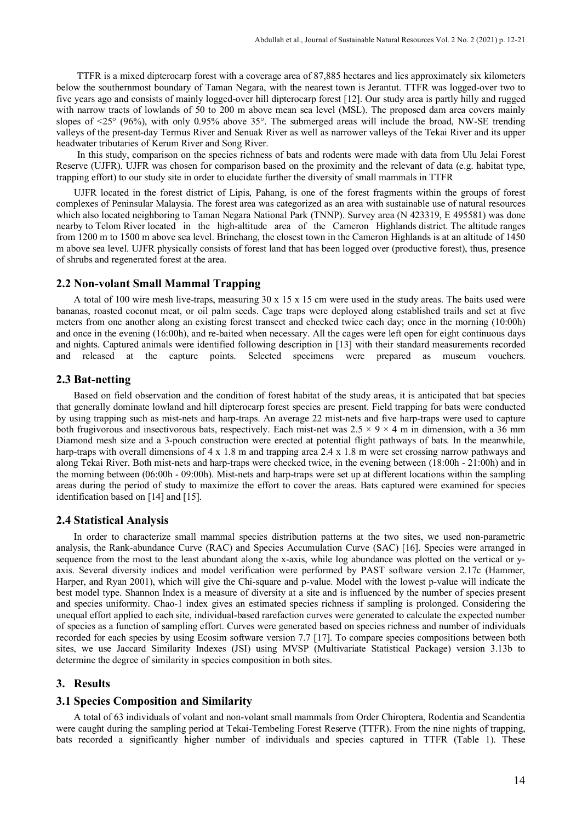TTFR is a mixed dipterocarp forest with a coverage area of 87,885 hectares and lies approximately six kilometers below the southernmost boundary of Taman Negara, with the nearest town is Jerantut. TTFR was logged-over two to five years ago and consists of mainly logged-over hill dipterocarp forest [12]. Our study area is partly hilly and rugged with narrow tracts of lowlands of 50 to 200 m above mean sea level (MSL). The proposed dam area covers mainly slopes of <25° (96%), with only 0.95% above 35°. The submerged areas will include the broad, NW-SE trending valleys of the present-day Termus River and Senuak River as well as narrower valleys of the Tekai River and its upper headwater tributaries of Kerum River and Song River.

In this study, comparison on the species richness of bats and rodents were made with data from Ulu Jelai Forest Reserve (UJFR). UJFR was chosen for comparison based on the proximity and the relevant of data (e.g. habitat type, trapping effort) to our study site in order to elucidate further the diversity of small mammals in TTFR

UJFR located in the forest district of Lipis, Pahang, is one of the forest fragments within the groups of forest complexes of Peninsular Malaysia. The forest area was categorized as an area with sustainable use of natural resources which also located neighboring to Taman Negara National Park (TNNP). Survey area (N 423319, E 495581) was done nearby to Telom River located in the high-altitude area of the Cameron Highlands district. The altitude ranges from 1200 m to 1500 m above sea level. Brinchang, the closest town in the Cameron Highlands is at an altitude of 1450 m above sea level. UJFR physically consists of forest land that has been logged over (productive forest), thus, presence of shrubs and regenerated forest at the area.

## **2.2 Non-volant Small Mammal Trapping**

A total of 100 wire mesh live-traps, measuring 30 x 15 x 15 cm were used in the study areas. The baits used were bananas, roasted coconut meat, or oil palm seeds. Cage traps were deployed along established trails and set at five meters from one another along an existing forest transect and checked twice each day; once in the morning (10:00h) and once in the evening (16:00h), and re-baited when necessary. All the cages were left open for eight continuous days and nights. Captured animals were identified following description in [13] with their standard measurements recorded and released at the capture points. Selected specimens were prepared as museum vouchers.

## **2.3 Bat-netting**

Based on field observation and the condition of forest habitat of the study areas, it is anticipated that bat species that generally dominate lowland and hill dipterocarp forest species are present. Field trapping for bats were conducted by using trapping such as mist-nets and harp-traps. An average 22 mist-nets and five harp-traps were used to capture both frugivorous and insectivorous bats, respectively. Each mist-net was  $2.5 \times 9 \times 4$  m in dimension, with a 36 mm Diamond mesh size and a 3-pouch construction were erected at potential flight pathways of bats. In the meanwhile, harp-traps with overall dimensions of 4 x 1.8 m and trapping area 2.4 x 1.8 m were set crossing narrow pathways and along Tekai River. Both mist-nets and harp-traps were checked twice, in the evening between (18:00h - 21:00h) and in the morning between (06:00h - 09:00h). Mist-nets and harp-traps were set up at different locations within the sampling areas during the period of study to maximize the effort to cover the areas. Bats captured were examined for species identification based on [14] and [15].

## **2.4 Statistical Analysis**

In order to characterize small mammal species distribution patterns at the two sites, we used non-parametric analysis, the Rank-abundance Curve (RAC) and Species Accumulation Curve (SAC) [16]. Species were arranged in sequence from the most to the least abundant along the x-axis, while log abundance was plotted on the vertical or yaxis. Several diversity indices and model verification were performed by PAST software version 2.17c (Hammer, Harper, and Ryan 2001), which will give the Chi-square and p-value. Model with the lowest p-value will indicate the best model type. Shannon Index is a measure of diversity at a site and is influenced by the number of species present and species uniformity. Chao-1 index gives an estimated species richness if sampling is prolonged. Considering the unequal effort applied to each site, individual-based rarefaction curves were generated to calculate the expected number of species as a function of sampling effort. Curves were generated based on species richness and number of individuals recorded for each species by using Ecosim software version 7.7 [17]. To compare species compositions between both sites, we use Jaccard Similarity Indexes (JSI) using MVSP (Multivariate Statistical Package) version 3.13b to determine the degree of similarity in species composition in both sites.

## **3. Results**

### **3.1 Species Composition and Similarity**

A total of 63 individuals of volant and non-volant small mammals from Order Chiroptera, Rodentia and Scandentia were caught during the sampling period at Tekai-Tembeling Forest Reserve (TTFR). From the nine nights of trapping, bats recorded a significantly higher number of individuals and species captured in TTFR (Table 1). These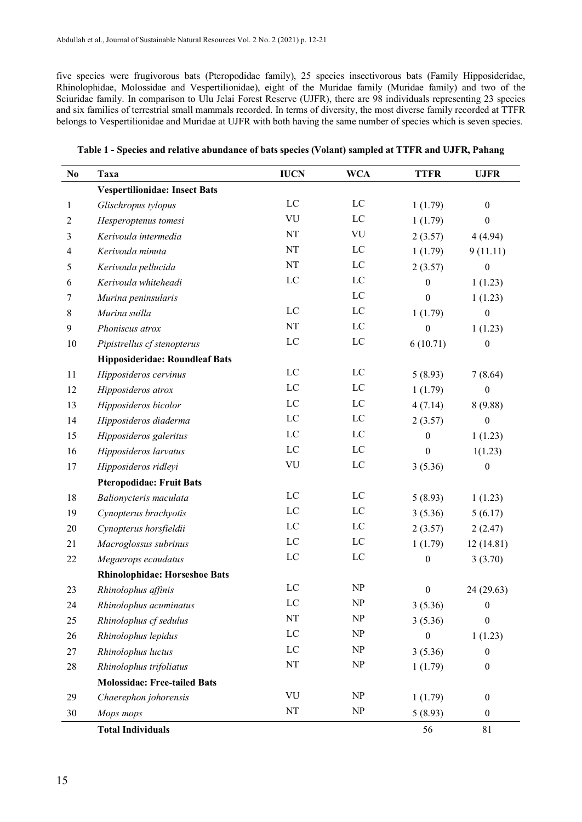five species were frugivorous bats (Pteropodidae family), 25 species insectivorous bats (Family Hipposideridae, Rhinolophidae, Molossidae and Vespertilionidae), eight of the Muridae family (Muridae family) and two of the Sciuridae family. In comparison to Ulu Jelai Forest Reserve (UJFR), there are 98 individuals representing 23 species and six families of terrestrial small mammals recorded. In terms of diversity, the most diverse family recorded at TTFR belongs to Vespertilionidae and Muridae at UJFR with both having the same number of species which is seven species.

| No               | Taxa                                  | <b>IUCN</b>    | <b>WCA</b>                      | <b>TTFR</b>      | <b>UJFR</b>      |
|------------------|---------------------------------------|----------------|---------------------------------|------------------|------------------|
|                  | <b>Vespertilionidae: Insect Bats</b>  |                |                                 |                  |                  |
| $\mathbf{1}$     | Glischropus tylopus                   | ${\rm LC}$     | $_{\text{LC}}$                  | 1(1.79)          | $\boldsymbol{0}$ |
| $\overline{c}$   | Hesperoptenus tomesi                  | VU             | LC                              | 1(1.79)          | $\boldsymbol{0}$ |
| $\mathfrak{Z}$   | Kerivoula intermedia                  | NT             | VU                              | 2(3.57)          | 4(4.94)          |
| $\overline{4}$   | Kerivoula minuta                      | $\rm{NT}$      | LC                              | 1(1.79)          | 9(11.11)         |
| 5                | Kerivoula pellucida                   | NT             | $_{\rm LC}$                     | 2(3.57)          | $\boldsymbol{0}$ |
| 6                | Kerivoula whiteheadi                  | LC             | $_{\rm LC}$                     | $\theta$         | 1(1.23)          |
| 7                | Murina peninsularis                   |                | LC                              | $\boldsymbol{0}$ | 1(1.23)          |
| 8                | Murina suilla                         | LC             | LC                              | 1(1.79)          | $\boldsymbol{0}$ |
| $\boldsymbol{9}$ | Phoniscus atrox                       | $\rm{NT}$      | LC                              | $\boldsymbol{0}$ | 1(1.23)          |
| 10               | Pipistrellus cf stenopterus           | LC             | LC                              | 6(10.71)         | $\boldsymbol{0}$ |
|                  | <b>Hipposideridae: Roundleaf Bats</b> |                |                                 |                  |                  |
| 11               | Hipposideros cervinus                 | $_{\text{LC}}$ | LC                              | 5(8.93)          | 7(8.64)          |
| 12               | Hipposideros atrox                    | LC             | LC                              | 1(1.79)          | $\boldsymbol{0}$ |
| 13               | Hipposideros bicolor                  | $_{\text{LC}}$ | LC                              | 4(7.14)          | 8(9.88)          |
| 14               | Hipposideros diaderma                 | $_{\text{LC}}$ | LC                              | 2(3.57)          | $\boldsymbol{0}$ |
| 15               | Hipposideros galeritus                | LC             | LC                              | $\boldsymbol{0}$ | 1(1.23)          |
| 16               | Hipposideros larvatus                 | LC             | $\rm LC$                        | $\boldsymbol{0}$ | 1(1.23)          |
| 17               | Hipposideros ridleyi                  | VU             | LC                              | 3(5.36)          | $\boldsymbol{0}$ |
|                  | <b>Pteropodidae: Fruit Bats</b>       |                |                                 |                  |                  |
| 18               | Balionycteris maculata                | LC             | LC                              | 5(8.93)          | 1(1.23)          |
| 19               | Cynopterus brachyotis                 | LC             | LC                              | 3(5.36)          | 5(6.17)          |
| 20               | Cynopterus horsfieldii                | LC             | LC                              | 2(3.57)          | 2(2.47)          |
| 21               | Macroglossus subrinus                 | LC             | LC                              | 1(1.79)          | 12(14.81)        |
| 22               | Megaerops ecaudatus                   | LC             | LC                              | $\boldsymbol{0}$ | 3(3.70)          |
|                  | <b>Rhinolophidae: Horseshoe Bats</b>  |                |                                 |                  |                  |
| 23               | Rhinolophus affinis                   | $\rm LC$       | $\ensuremath{\text{NP}}\xspace$ | $\boldsymbol{0}$ | 24 (29.63)       |
| 24               | Rhinolophus acuminatus                | $\rm LC$       | NP                              | 3(5.36)          | $\boldsymbol{0}$ |
| 25               | Rhinolophus cf sedulus                | $\rm{NT}$      | NP                              | 3(5.36)          | $\boldsymbol{0}$ |
| 26               | Rhinolophus lepidus                   | $_{\text{LC}}$ | $\ensuremath{\text{NP}}$        | $\theta$         | 1(1.23)          |
| 27               | Rhinolophus luctus                    | $_{\text{LC}}$ | NP                              | 3(5.36)          | $\boldsymbol{0}$ |
| $28\,$           | Rhinolophus trifoliatus               | $\rm{NT}$      | $\ensuremath{\text{NP}}\xspace$ | 1(1.79)          | $\boldsymbol{0}$ |
|                  | <b>Molossidae: Free-tailed Bats</b>   |                |                                 |                  |                  |
| 29               | Chaerephon johorensis                 | VU             | NP                              | 1(1.79)          | $\boldsymbol{0}$ |
| $30\,$           | Mops mops                             | NT             | NP                              | 5(8.93)          | $\boldsymbol{0}$ |
|                  | <b>Total Individuals</b>              |                |                                 | 56               | 81               |

**Table 1 - Species and relative abundance of bats species (Volant) sampled at TTFR and UJFR, Pahang**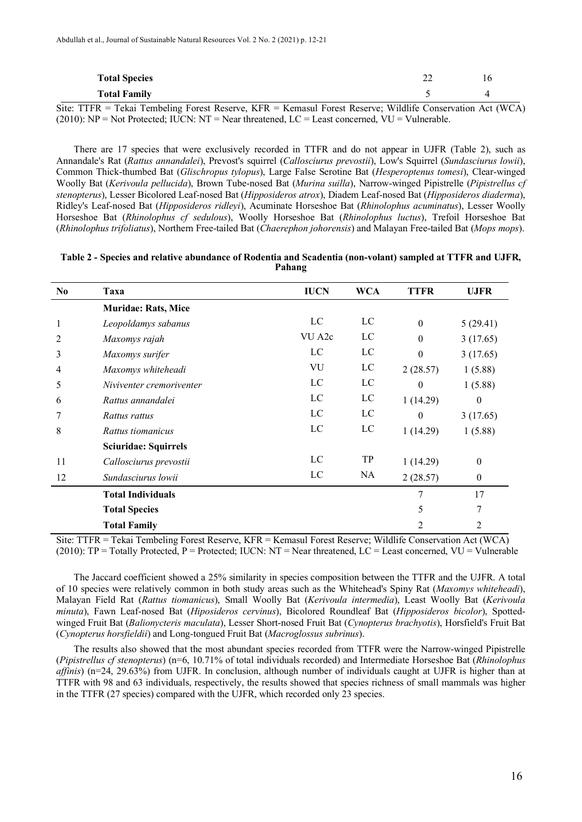| <b>Total Species</b><br><b>Total Family</b> | ∠∠ | 10                                        |
|---------------------------------------------|----|-------------------------------------------|
| $ -$<br>$- - - -$<br>$\sim$ $\sim$          |    | $\sim$ $\sim$ $\sim$ $\sim$ $\sim$ $\sim$ |

Site: TTFR = Tekai Tembeling Forest Reserve, KFR = Kemasul Forest Reserve; Wildlife Conservation Act (WCA)  $(2010)$ : NP = Not Protected; IUCN: NT = Near threatened, LC = Least concerned, VU = Vulnerable.

There are 17 species that were exclusively recorded in TTFR and do not appear in UJFR (Table 2), such as Annandale's Rat (*Rattus annandalei*), Prevost's squirrel (*Callosciurus prevostii*), Low's Squirrel (*Sundasciurus lowii*), Common Thick-thumbed Bat (*Glischropus tylopus*), Large False Serotine Bat (*Hesperoptenus tomesi*), Clear-winged Woolly Bat (*Kerivoula pellucida*), Brown Tube-nosed Bat (*Murina suilla*), Narrow-winged Pipistrelle (*Pipistrellus cf stenopterus*), Lesser Bicolored Leaf-nosed Bat (*Hipposideros atrox*), Diadem Leaf-nosed Bat (*Hipposideros diaderma*), Ridley's Leaf-nosed Bat (*Hipposideros ridleyi*), Acuminate Horseshoe Bat (*Rhinolophus acuminatus*), Lesser Woolly Horseshoe Bat (*Rhinolophus cf sedulous*), Woolly Horseshoe Bat (*Rhinolophus luctus*), Trefoil Horseshoe Bat (*Rhinolophus trifoliatus*), Northern Free-tailed Bat (*Chaerephon johorensis*) and Malayan Free-tailed Bat (*Mops mops*).

**Table 2 - Species and relative abundance of Rodentia and Scadentia (non-volant) sampled at TTFR and UJFR, Pahang**

| N <sub>0</sub> | Taxa                        | <b>IUCN</b> | <b>WCA</b> | <b>TTFR</b>      | <b>UJFR</b>      |
|----------------|-----------------------------|-------------|------------|------------------|------------------|
|                | <b>Muridae: Rats, Mice</b>  |             |            |                  |                  |
| 1              | Leopoldamys sabanus         | LC          | LC         | $\boldsymbol{0}$ | 5(29.41)         |
| 2              | Maxomys rajah               | VU A2c      | LC         | $\theta$         | 3(17.65)         |
| 3              | Maxomys surifer             | LC          | LC         | $\theta$         | 3(17.65)         |
| 4              | Maxomys whiteheadi          | VU          | LC         | 2(28.57)         | 1(5.88)          |
| 5              | Niviventer cremoriventer    | LC          | LC         | $\theta$         | 1(5.88)          |
| 6              | Rattus annandalei           | LC          | LC         | 1(14.29)         | $\mathbf{0}$     |
|                | Rattus rattus               | LC          | LC         | $\Omega$         | 3(17.65)         |
| 8              | Rattus tiomanicus           | LC          | LC         | 1(14.29)         | 1(5.88)          |
|                | <b>Sciuridae: Squirrels</b> |             |            |                  |                  |
| 11             | Callosciurus prevostii      | LC          | TP         | 1(14.29)         | $\mathbf{0}$     |
| 12             | Sundasciurus lowii          | LC          | NA         | 2(28.57)         | $\boldsymbol{0}$ |
|                | <b>Total Individuals</b>    |             |            | 7                | 17               |
|                | <b>Total Species</b>        |             |            | 5                | 7                |
|                | <b>Total Family</b>         |             |            | 2                | $\overline{2}$   |

Site: TTFR = Tekai Tembeling Forest Reserve, KFR = Kemasul Forest Reserve; Wildlife Conservation Act (WCA) (2010):  $TP = \text{Totally protected}, P = \text{Protected}; \text{IUCN}: \text{NT} = \text{Near threatened}, \text{LC} = \text{Least concerned}, \text{VU} = \text{Vulnerable}$ 

The Jaccard coefficient showed a 25% similarity in species composition between the TTFR and the UJFR. A total of 10 species were relatively common in both study areas such as the Whitehead's Spiny Rat (*Maxomys whiteheadi*), Malayan Field Rat (*Rattus tiomanicus*), Small Woolly Bat (*Kerivoula intermedia*), Least Woolly Bat (*Kerivoula minuta*), Fawn Leaf-nosed Bat (*Hiposideros cervinus*), Bicolored Roundleaf Bat (*Hipposideros bicolor*), Spottedwinged Fruit Bat (*Balionycteris maculata*), Lesser Short-nosed Fruit Bat (*Cynopterus brachyotis*), Horsfield's Fruit Bat (*Cynopterus horsfieldii*) and Long-tongued Fruit Bat (*Macroglossus subrinus*).

The results also showed that the most abundant species recorded from TTFR were the Narrow-winged Pipistrelle (*Pipistrellus cf stenopterus*) (n=6, 10.71% of total individuals recorded) and Intermediate Horseshoe Bat (*Rhinolophus affinis*) (n=24, 29.63%) from UJFR. In conclusion, although number of individuals caught at UJFR is higher than at TTFR with 98 and 63 individuals, respectively, the results showed that species richness of small mammals was higher in the TTFR (27 species) compared with the UJFR, which recorded only 23 species.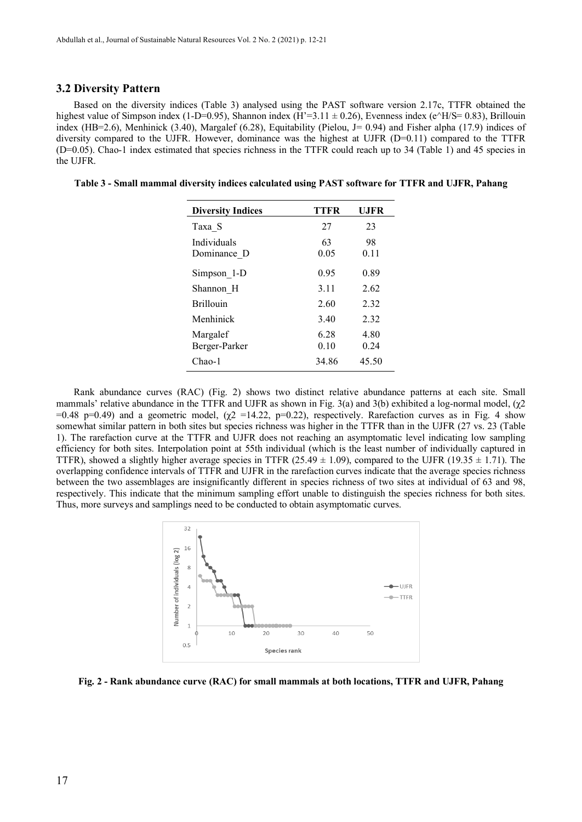## **3.2 Diversity Pattern**

Based on the diversity indices (Table 3) analysed using the PAST software version 2.17c, TTFR obtained the highest value of Simpson index (1-D=0.95), Shannon index (H'=3.11  $\pm$  0.26), Evenness index (e^H/S= 0.83), Brillouin index (HB=2.6), Menhinick (3.40), Margalef (6.28), Equitability (Pielou, J= 0.94) and Fisher alpha (17.9) indices of diversity compared to the UJFR. However, dominance was the highest at UJFR  $(D=0.11)$  compared to the TTFR (D=0.05). Chao-1 index estimated that species richness in the TTFR could reach up to 34 (Table 1) and 45 species in the UJFR.

**Table 3 - Small mammal diversity indices calculated using PAST software for TTFR and UJFR, Pahang**

| <b>Diversity Indices</b>   | <b>TTFR</b>  | <b>UJFR</b>  |
|----------------------------|--------------|--------------|
| Taxa S                     | 27           | 23           |
| Individuals<br>Dominance D | 63<br>0.05   | 98<br>0.11   |
| Simpson 1-D                | 0.95         | 0.89         |
| Shannon H                  | 3.11         | 2.62         |
| <b>Brillouin</b>           | 2.60         | 2.32         |
| Menhinick                  | 3.40         | 2.32         |
| Margalef<br>Berger-Parker  | 6.28<br>0.10 | 4.80<br>0.24 |
| $Chao-1$                   | 34.86        | 45.50        |

Rank abundance curves (RAC) (Fig. 2) shows two distinct relative abundance patterns at each site. Small mammals' relative abundance in the TTFR and UJFR as shown in Fig. 3(a) and 3(b) exhibited a log-normal model,  $(\chi^2)$ =0.48 p=0.49) and a geometric model,  $(\gamma_2 = 14.22, p=0.22)$ , respectively. Rarefaction curves as in Fig. 4 show somewhat similar pattern in both sites but species richness was higher in the TTFR than in the UJFR (27 vs. 23 (Table 1). The rarefaction curve at the TTFR and UJFR does not reaching an asymptomatic level indicating low sampling efficiency for both sites. Interpolation point at 55th individual (which is the least number of individually captured in TTFR), showed a slightly higher average species in TTFR (25.49  $\pm$  1.09), compared to the UJFR (19.35  $\pm$  1.71). The overlapping confidence intervals of TTFR and UJFR in the rarefaction curves indicate that the average species richness between the two assemblages are insignificantly different in species richness of two sites at individual of 63 and 98, respectively. This indicate that the minimum sampling effort unable to distinguish the species richness for both sites. Thus, more surveys and samplings need to be conducted to obtain asymptomatic curves.



**Fig. 2 - Rank abundance curve (RAC) for small mammals at both locations, TTFR and UJFR, Pahang**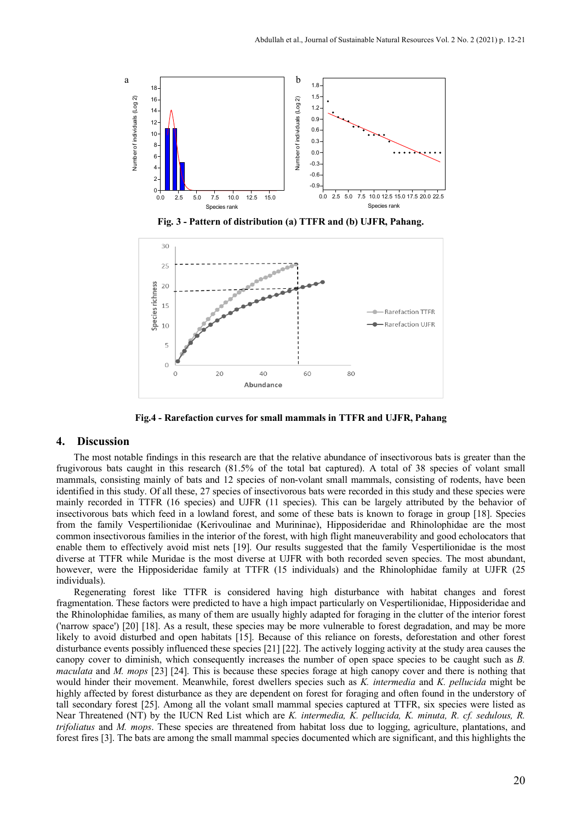

**Fig. 3 - Pattern of distribution (a) TTFR and (b) UJFR, Pahang.**



**Fig.4 - Rarefaction curves for small mammals in TTFR and UJFR, Pahang**

## **4. Discussion**

The most notable findings in this research are that the relative abundance of insectivorous bats is greater than the frugivorous bats caught in this research (81.5% of the total bat captured). A total of 38 species of volant small mammals, consisting mainly of bats and 12 species of non-volant small mammals, consisting of rodents, have been identified in this study. Of all these, 27 species of insectivorous bats were recorded in this study and these species were mainly recorded in TTFR (16 species) and UJFR (11 species). This can be largely attributed by the behavior of insectivorous bats which feed in a lowland forest, and some of these bats is known to forage in group [18]. Species from the family Vespertilionidae (Kerivoulinae and Murininae), Hipposideridae and Rhinolophidae are the most common insectivorous families in the interior of the forest, with high flight maneuverability and good echolocators that enable them to effectively avoid mist nets [19]. Our results suggested that the family Vespertilionidae is the most diverse at TTFR while Muridae is the most diverse at UJFR with both recorded seven species. The most abundant, however, were the Hipposideridae family at TTFR (15 individuals) and the Rhinolophidae family at UJFR (25 individuals).

Regenerating forest like TTFR is considered having high disturbance with habitat changes and forest fragmentation. These factors were predicted to have a high impact particularly on Vespertilionidae, Hipposideridae and the Rhinolophidae families, as many of them are usually highly adapted for foraging in the clutter of the interior forest ('narrow space') [20] [18]. As a result, these species may be more vulnerable to forest degradation, and may be more likely to avoid disturbed and open habitats [15]. Because of this reliance on forests, deforestation and other forest disturbance events possibly influenced these species [21] [22]. The actively logging activity at the study area causes the canopy cover to diminish, which consequently increases the number of open space species to be caught such as *B. maculata* and *M. mops* [23] [24]. This is because these species forage at high canopy cover and there is nothing that would hinder their movement. Meanwhile, forest dwellers species such as *K. intermedia* and *K. pellucida* might be highly affected by forest disturbance as they are dependent on forest for foraging and often found in the understory of tall secondary forest [25]. Among all the volant small mammal species captured at TTFR, six species were listed as Near Threatened (NT) by the IUCN Red List which are *K. intermedia, K. pellucida, K. minuta, R. cf. sedulous, R. trifoliatus* and *M. mops*. These species are threatened from habitat loss due to logging, agriculture, plantations, and forest fires [3]. The bats are among the small mammal species documented which are significant, and this highlights the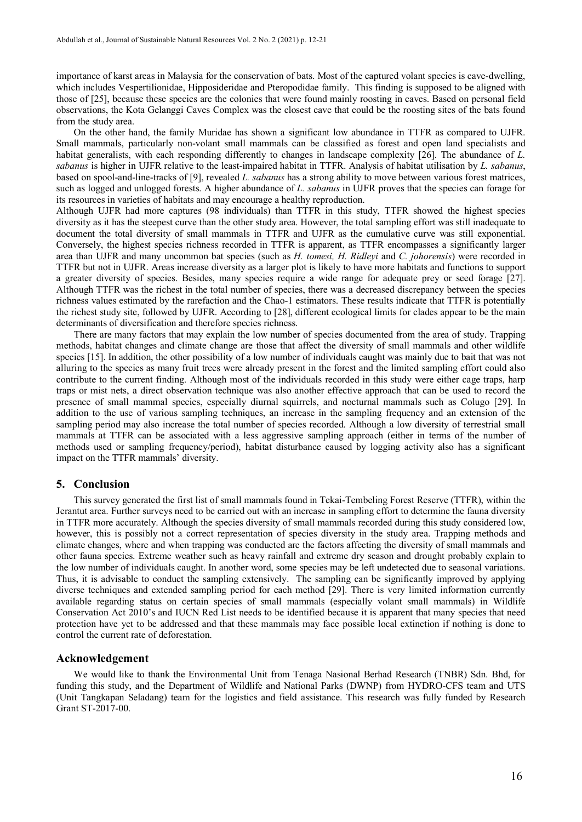importance of karst areas in Malaysia for the conservation of bats. Most of the captured volant species is cave-dwelling, which includes Vespertilionidae, Hipposideridae and Pteropodidae family. This finding is supposed to be aligned with those of [25], because these species are the colonies that were found mainly roosting in caves. Based on personal field observations, the Kota Gelanggi Caves Complex was the closest cave that could be the roosting sites of the bats found from the study area.

On the other hand, the family Muridae has shown a significant low abundance in TTFR as compared to UJFR. Small mammals, particularly non-volant small mammals can be classified as forest and open land specialists and habitat generalists, with each responding differently to changes in landscape complexity [26]. The abundance of *L*. *sabanus* is higher in UJFR relative to the least-impaired habitat in TTFR. Analysis of habitat utilisation by *L. sabanus*, based on spool-and-line-tracks of [9], revealed *L. sabanus* has a strong ability to move between various forest matrices, such as logged and unlogged forests. A higher abundance of *L. sabanus* in UJFR proves that the species can forage for its resources in varieties of habitats and may encourage a healthy reproduction.

Although UJFR had more captures (98 individuals) than TTFR in this study, TTFR showed the highest species diversity as it has the steepest curve than the other study area. However, the total sampling effort was still inadequate to document the total diversity of small mammals in TTFR and UJFR as the cumulative curve was still exponential. Conversely, the highest species richness recorded in TTFR is apparent, as TTFR encompasses a significantly larger area than UJFR and many uncommon bat species (such as *H. tomesi, H. Ridleyi* and *C. johorensis*) were recorded in TTFR but not in UJFR. Areas increase diversity as a larger plot is likely to have more habitats and functions to support a greater diversity of species. Besides, many species require a wide range for adequate prey or seed forage [27]. Although TTFR was the richest in the total number of species, there was a decreased discrepancy between the species richness values estimated by the rarefaction and the Chao-1 estimators. These results indicate that TTFR is potentially the richest study site, followed by UJFR. According to [28], different ecological limits for clades appear to be the main determinants of diversification and therefore species richness.

There are many factors that may explain the low number of species documented from the area of study. Trapping methods, habitat changes and climate change are those that affect the diversity of small mammals and other wildlife species [15]. In addition, the other possibility of a low number of individuals caught was mainly due to bait that was not alluring to the species as many fruit trees were already present in the forest and the limited sampling effort could also contribute to the current finding. Although most of the individuals recorded in this study were either cage traps, harp traps or mist nets, a direct observation technique was also another effective approach that can be used to record the presence of small mammal species, especially diurnal squirrels, and nocturnal mammals such as Colugo [29]. In addition to the use of various sampling techniques, an increase in the sampling frequency and an extension of the sampling period may also increase the total number of species recorded. Although a low diversity of terrestrial small mammals at TTFR can be associated with a less aggressive sampling approach (either in terms of the number of methods used or sampling frequency/period), habitat disturbance caused by logging activity also has a significant impact on the TTFR mammals' diversity.

## **5. Conclusion**

This survey generated the first list of small mammals found in Tekai-Tembeling Forest Reserve (TTFR), within the Jerantut area. Further surveys need to be carried out with an increase in sampling effort to determine the fauna diversity in TTFR more accurately. Although the species diversity of small mammals recorded during this study considered low, however, this is possibly not a correct representation of species diversity in the study area. Trapping methods and climate changes, where and when trapping was conducted are the factors affecting the diversity of small mammals and other fauna species. Extreme weather such as heavy rainfall and extreme dry season and drought probably explain to the low number of individuals caught. In another word, some species may be left undetected due to seasonal variations. Thus, it is advisable to conduct the sampling extensively. The sampling can be significantly improved by applying diverse techniques and extended sampling period for each method [29]. There is very limited information currently available regarding status on certain species of small mammals (especially volant small mammals) in Wildlife Conservation Act 2010's and IUCN Red List needs to be identified because it is apparent that many species that need protection have yet to be addressed and that these mammals may face possible local extinction if nothing is done to control the current rate of deforestation.

## **Acknowledgement**

We would like to thank the Environmental Unit from Tenaga Nasional Berhad Research (TNBR) Sdn. Bhd, for funding this study, and the Department of Wildlife and National Parks (DWNP) from HYDRO-CFS team and UTS (Unit Tangkapan Seladang) team for the logistics and field assistance. This research was fully funded by Research Grant ST-2017-00.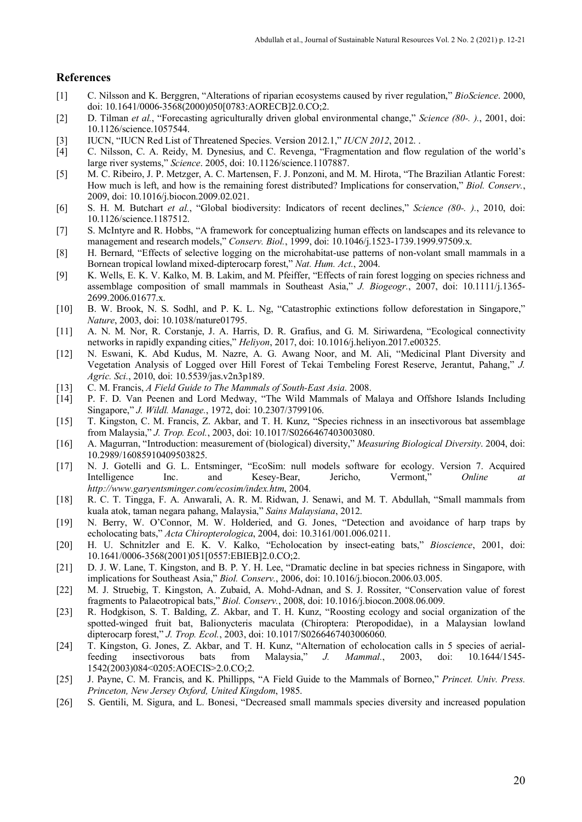## **References**

- [1] C. Nilsson and K. Berggren, "Alterations of riparian ecosystems caused by river regulation," *BioScience*. 2000, doi: 10.1641/0006-3568(2000)050[0783:AORECB]2.0.CO;2.
- [2] D. Tilman *et al.*, "Forecasting agriculturally driven global environmental change," *Science (80-. ).*, 2001, doi: 10.1126/science.1057544.
- [3] IUCN, "IUCN Red List of Threatened Species. Version 2012.1," *IUCN 2012*, 2012. .
- [4] C. Nilsson, C. A. Reidy, M. Dynesius, and C. Revenga, "Fragmentation and flow regulation of the world's large river systems," *Science*. 2005, doi: 10.1126/science.1107887.
- [5] M. C. Ribeiro, J. P. Metzger, A. C. Martensen, F. J. Ponzoni, and M. M. Hirota, "The Brazilian Atlantic Forest: How much is left, and how is the remaining forest distributed? Implications for conservation," *Biol. Conserv.*, 2009, doi: 10.1016/j.biocon.2009.02.021.
- [6] S. H. M. Butchart *et al.*, "Global biodiversity: Indicators of recent declines," *Science (80-. ).*, 2010, doi: 10.1126/science.1187512.
- [7] S. McIntyre and R. Hobbs, "A framework for conceptualizing human effects on landscapes and its relevance to management and research models," *Conserv. Biol.*, 1999, doi: 10.1046/j.1523-1739.1999.97509.x.
- [8] H. Bernard, "Effects of selective logging on the microhabitat-use patterns of non-volant small mammals in a Bornean tropical lowland mixed-dipterocarp forest," *Nat. Hum. Act.*, 2004.
- [9] K. Wells, E. K. V. Kalko, M. B. Lakim, and M. Pfeiffer, "Effects of rain forest logging on species richness and assemblage composition of small mammals in Southeast Asia," *J. Biogeogr.*, 2007, doi: 10.1111/j.1365- 2699.2006.01677.x.
- [10] B. W. Brook, N. S. Sodhl, and P. K. L. Ng, "Catastrophic extinctions follow deforestation in Singapore," *Nature*, 2003, doi: 10.1038/nature01795.
- [11] A. N. M. Nor, R. Corstanje, J. A. Harris, D. R. Grafius, and G. M. Siriwardena, "Ecological connectivity networks in rapidly expanding cities," *Heliyon*, 2017, doi: 10.1016/j.heliyon.2017.e00325.
- [12] N. Eswani, K. Abd Kudus, M. Nazre, A. G. Awang Noor, and M. Ali, "Medicinal Plant Diversity and Vegetation Analysis of Logged over Hill Forest of Tekai Tembeling Forest Reserve, Jerantut, Pahang," *J. Agric. Sci.*, 2010, doi: 10.5539/jas.v2n3p189.
- [13] C. M. Francis, *A Field Guide to The Mammals of South-East Asia*. 2008.
- [14] P. F. D. Van Peenen and Lord Medway, "The Wild Mammals of Malaya and Offshore Islands Including Singapore," *J. Wildl. Manage.*, 1972, doi: 10.2307/3799106.
- [15] T. Kingston, C. M. Francis, Z. Akbar, and T. H. Kunz, "Species richness in an insectivorous bat assemblage from Malaysia," *J. Trop. Ecol.*, 2003, doi: 10.1017/S0266467403003080.
- [16] A. Magurran, "Introduction: measurement of (biological) diversity," *Measuring Biological Diversity*. 2004, doi: 10.2989/16085910409503825.
- [17] N. J. Gotelli and G. L. Entsminger, "EcoSim: null models software for ecology. Version 7. Acquired Intelligence Inc. and Kesey-Bear, Jericho, Vermont," *Online at http://www.garyentsminger.com/ecosim/index.htm*, 2004.
- [18] R. C. T. Tingga, F. A. Anwarali, A. R. M. Ridwan, J. Senawi, and M. T. Abdullah, "Small mammals from kuala atok, taman negara pahang, Malaysia," *Sains Malaysiana*, 2012.
- [19] N. Berry, W. O'Connor, M. W. Holderied, and G. Jones, "Detection and avoidance of harp traps by echolocating bats," *Acta Chiropterologica*, 2004, doi: 10.3161/001.006.0211.
- [20] H. U. Schnitzler and E. K. V. Kalko, "Echolocation by insect-eating bats," *Bioscience*, 2001, doi: 10.1641/0006-3568(2001)051[0557:EBIEB]2.0.CO;2.
- [21] D. J. W. Lane, T. Kingston, and B. P. Y. H. Lee, "Dramatic decline in bat species richness in Singapore, with implications for Southeast Asia," *Biol. Conserv.*, 2006, doi: 10.1016/j.biocon.2006.03.005.
- [22] M. J. Struebig, T. Kingston, A. Zubaid, A. Mohd-Adnan, and S. J. Rossiter, "Conservation value of forest fragments to Palaeotropical bats," *Biol. Conserv.*, 2008, doi: 10.1016/j.biocon.2008.06.009.
- [23] R. Hodgkison, S. T. Balding, Z. Akbar, and T. H. Kunz, "Roosting ecology and social organization of the spotted-winged fruit bat, Balionycteris maculata (Chiroptera: Pteropodidae), in a Malaysian lowland dipterocarp forest," *J. Trop. Ecol.*, 2003, doi: 10.1017/S0266467403006060.
- [24] T. Kingston, G. Jones, Z. Akbar, and T. H. Kunz, "Alternation of echolocation calls in 5 species of aerial-<br>feeding insectivorous bats from Malaysia," J. Mammal., 2003, doi: 10.1644/1545feeding insectivorous bats from Malaysia," *J. Mammal.*, 2003, doi: 10.1644/1545- 1542(2003)084<0205:AOECIS>2.0.CO;2.
- [25] J. Payne, C. M. Francis, and K. Phillipps, "A Field Guide to the Mammals of Borneo," *Princet. Univ. Press. Princeton, New Jersey Oxford, United Kingdom*, 1985.
- [26] S. Gentili, M. Sigura, and L. Bonesi, "Decreased small mammals species diversity and increased population